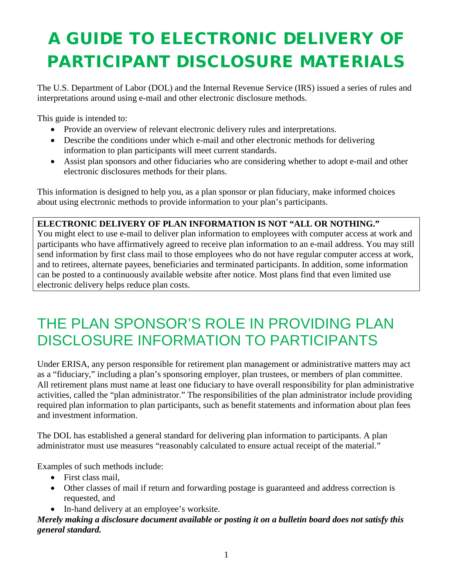# A GUIDE TO ELECTRONIC DELIVERY OF PARTICIPANT DISCLOSURE MATERIALS

The U.S. Department of Labor (DOL) and the Internal Revenue Service (IRS) issued a series of rules and interpretations around using e-mail and other electronic disclosure methods.

This guide is intended to:

- Provide an overview of relevant electronic delivery rules and interpretations.
- Describe the conditions under which e-mail and other electronic methods for delivering information to plan participants will meet current standards.
- Assist plan sponsors and other fiduciaries who are considering whether to adopt e-mail and other electronic disclosures methods for their plans.

This information is designed to help you, as a plan sponsor or plan fiduciary, make informed choices about using electronic methods to provide information to your plan's participants.

#### **ELECTRONIC DELIVERY OF PLAN INFORMATION IS NOT "ALL OR NOTHING."**

You might elect to use e-mail to deliver plan information to employees with computer access at work and participants who have affirmatively agreed to receive plan information to an e-mail address. You may still send information by first class mail to those employees who do not have regular computer access at work, and to retirees, alternate payees, beneficiaries and terminated participants. In addition, some information can be posted to a continuously available website after notice. Most plans find that even limited use electronic delivery helps reduce plan costs.

### THE PLAN SPONSOR'S ROLE IN PROVIDING PLAN DISCLOSURE INFORMATION TO PARTICIPANTS

Under ERISA, any person responsible for retirement plan management or administrative matters may act as a "fiduciary," including a plan's sponsoring employer, plan trustees, or members of plan committee. All retirement plans must name at least one fiduciary to have overall responsibility for plan administrative activities, called the "plan administrator." The responsibilities of the plan administrator include providing required plan information to plan participants, such as benefit statements and information about plan fees and investment information.

The DOL has established a general standard for delivering plan information to participants. A plan administrator must use measures "reasonably calculated to ensure actual receipt of the material."

Examples of such methods include:

- First class mail.
- Other classes of mail if return and forwarding postage is guaranteed and address correction is requested, and
- In-hand delivery at an employee's worksite.

#### *Merely making a disclosure document available or posting it on a bulletin board does not satisfy this general standard.*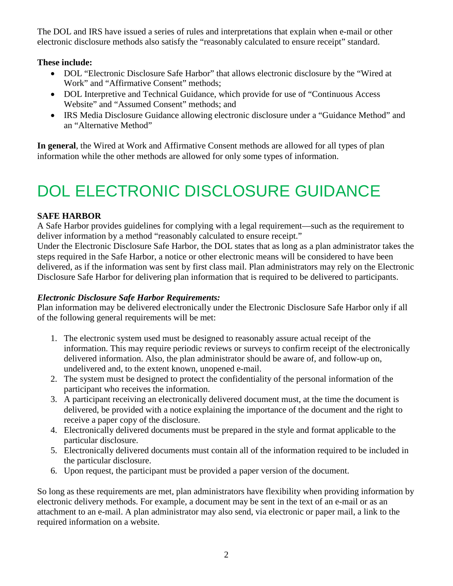The DOL and IRS have issued a series of rules and interpretations that explain when e-mail or other electronic disclosure methods also satisfy the "reasonably calculated to ensure receipt" standard.

#### **These include:**

- DOL "Electronic Disclosure Safe Harbor" that allows electronic disclosure by the "Wired at Work" and "Affirmative Consent" methods;
- DOL Interpretive and Technical Guidance, which provide for use of "Continuous Access" Website" and "Assumed Consent" methods; and
- IRS Media Disclosure Guidance allowing electronic disclosure under a "Guidance Method" and an "Alternative Method"

**In general**, the Wired at Work and Affirmative Consent methods are allowed for all types of plan information while the other methods are allowed for only some types of information.

## DOL ELECTRONIC DISCLOSURE GUIDANCE

#### **SAFE HARBOR**

A Safe Harbor provides guidelines for complying with a legal requirement—such as the requirement to deliver information by a method "reasonably calculated to ensure receipt."

Under the Electronic Disclosure Safe Harbor, the DOL states that as long as a plan administrator takes the steps required in the Safe Harbor, a notice or other electronic means will be considered to have been delivered, as if the information was sent by first class mail. Plan administrators may rely on the Electronic Disclosure Safe Harbor for delivering plan information that is required to be delivered to participants.

#### *Electronic Disclosure Safe Harbor Requirements:*

Plan information may be delivered electronically under the Electronic Disclosure Safe Harbor only if all of the following general requirements will be met:

- 1. The electronic system used must be designed to reasonably assure actual receipt of the information. This may require periodic reviews or surveys to confirm receipt of the electronically delivered information. Also, the plan administrator should be aware of, and follow-up on, undelivered and, to the extent known, unopened e-mail.
- 2. The system must be designed to protect the confidentiality of the personal information of the participant who receives the information.
- 3. A participant receiving an electronically delivered document must, at the time the document is delivered, be provided with a notice explaining the importance of the document and the right to receive a paper copy of the disclosure.
- 4. Electronically delivered documents must be prepared in the style and format applicable to the particular disclosure.
- 5. Electronically delivered documents must contain all of the information required to be included in the particular disclosure.
- 6. Upon request, the participant must be provided a paper version of the document.

So long as these requirements are met, plan administrators have flexibility when providing information by electronic delivery methods. For example, a document may be sent in the text of an e-mail or as an attachment to an e-mail. A plan administrator may also send, via electronic or paper mail, a link to the required information on a website.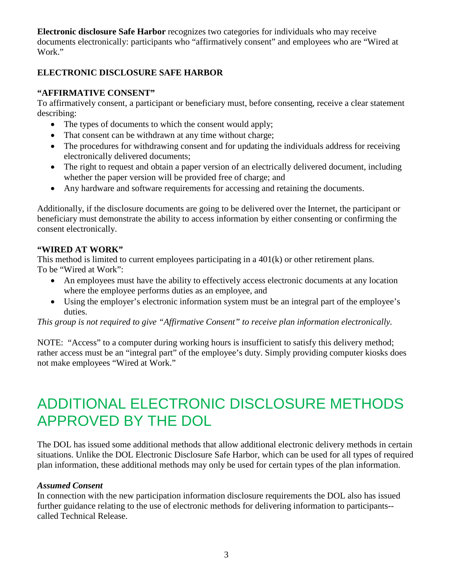**Electronic disclosure Safe Harbor** recognizes two categories for individuals who may receive documents electronically: participants who "affirmatively consent" and employees who are "Wired at Work."

#### **ELECTRONIC DISCLOSURE SAFE HARBOR**

#### **"AFFIRMATIVE CONSENT"**

To affirmatively consent, a participant or beneficiary must, before consenting, receive a clear statement describing:

- The types of documents to which the consent would apply;
- That consent can be withdrawn at any time without charge;
- The procedures for withdrawing consent and for updating the individuals address for receiving electronically delivered documents;
- The right to request and obtain a paper version of an electrically delivered document, including whether the paper version will be provided free of charge; and
- Any hardware and software requirements for accessing and retaining the documents.

Additionally, if the disclosure documents are going to be delivered over the Internet, the participant or beneficiary must demonstrate the ability to access information by either consenting or confirming the consent electronically.

#### **"WIRED AT WORK"**

This method is limited to current employees participating in a 401(k) or other retirement plans. To be "Wired at Work":

- An employees must have the ability to effectively access electronic documents at any location where the employee performs duties as an employee, and
- Using the employer's electronic information system must be an integral part of the employee's duties.

*This group is not required to give "Affirmative Consent" to receive plan information electronically.*

NOTE: "Access" to a computer during working hours is insufficient to satisfy this delivery method; rather access must be an "integral part" of the employee's duty. Simply providing computer kiosks does not make employees "Wired at Work."

### ADDITIONAL ELECTRONIC DISCLOSURE METHODS APPROVED BY THE DOL

The DOL has issued some additional methods that allow additional electronic delivery methods in certain situations. Unlike the DOL Electronic Disclosure Safe Harbor, which can be used for all types of required plan information, these additional methods may only be used for certain types of the plan information.

#### *Assumed Consent*

In connection with the new participation information disclosure requirements the DOL also has issued further guidance relating to the use of electronic methods for delivering information to participants- called Technical Release.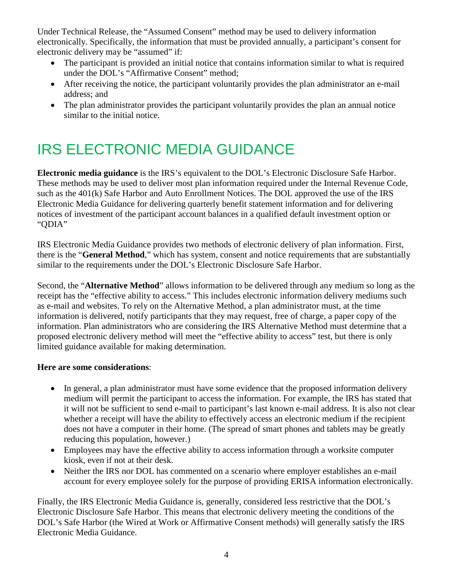Under Technical Release, the "Assumed Consent" method may be used to delivery information electronically. Specifically, the information that must be provided annually, a participant's consent for electronic delivery may be "assumed" if:

- The participant is provided an initial notice that contains information similar to what is required under the DOL's "Affirmative Consent" method;
- After receiving the notice, the participant voluntarily provides the plan administrator an e-mail address; and
- The plan administrator provides the participant voluntarily provides the plan an annual notice similar to the initial notice.

### IRS ELECTRONIC MEDIA GUIDANCE

**Electronic media guidance** is the IRS's equivalent to the DOL's Electronic Disclosure Safe Harbor. These methods may be used to deliver most plan information required under the Internal Revenue Code, such as the 401(k) Safe Harbor and Auto Enrollment Notices. The DOL approved the use of the IRS Electronic Media Guidance for delivering quarterly benefit statement information and for delivering notices of investment of the participant account balances in a qualified default investment option or "QDIA"

IRS Electronic Media Guidance provides two methods of electronic delivery of plan information. First, there is the "**General Method**," which has system, consent and notice requirements that are substantially similar to the requirements under the DOL's Electronic Disclosure Safe Harbor.

Second, the "**Alternative Method**" allows information to be delivered through any medium so long as the receipt has the "effective ability to access." This includes electronic information delivery mediums such as e-mail and websites. To rely on the Alternative Method, a plan administrator must, at the time information is delivered, notify participants that they may request, free of charge, a paper copy of the information. Plan administrators who are considering the IRS Alternative Method must determine that a proposed electronic delivery method will meet the "effective ability to access" test, but there is only limited guidance available for making determination.

#### **Here are some considerations**:

- In general, a plan administrator must have some evidence that the proposed information delivery medium will permit the participant to access the information. For example, the IRS has stated that it will not be sufficient to send e-mail to participant's last known e-mail address. It is also not clear whether a receipt will have the ability to effectively access an electronic medium if the recipient does not have a computer in their home. (The spread of smart phones and tablets may be greatly reducing this population, however.)
- Employees may have the effective ability to access information through a worksite computer kiosk, even if not at their desk.
- Neither the IRS nor DOL has commented on a scenario where employer establishes an e-mail account for every employee solely for the purpose of providing ERISA information electronically.

Finally, the IRS Electronic Media Guidance is, generally, considered less restrictive that the DOL's Electronic Disclosure Safe Harbor. This means that electronic delivery meeting the conditions of the DOL's Safe Harbor (the Wired at Work or Affirmative Consent methods) will generally satisfy the IRS Electronic Media Guidance.